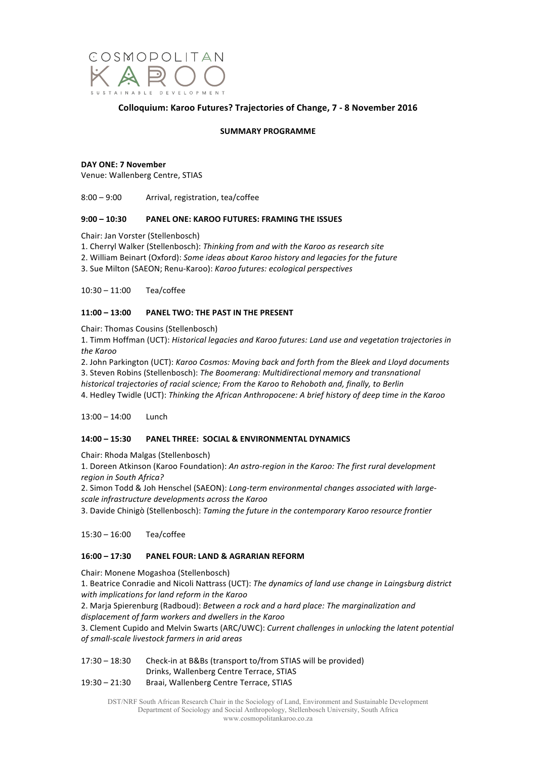

# **Colloquium: Karoo Futures? Trajectories of Change, 7 - 8 November 2016**

## **SUMMARY PROGRAMME**

### **DAY ONE: 7 November**

Venue: Wallenberg Centre, STIAS

 $8:00 - 9:00$  Arrival, registration, tea/coffee

## **9:00 – 10:30 PANEL ONE: KAROO FUTURES: FRAMING THE ISSUES**

Chair: Jan Vorster (Stellenbosch)

1. Cherryl Walker (Stellenbosch): Thinking from and with the Karoo as research site

2. William Beinart (Oxford): *Some ideas about Karoo history and legacies for the future* 

3. Sue Milton (SAEON; Renu-Karoo): *Karoo futures: ecological perspectives*

10:30 – 11:00 Tea/coffee

# **11:00 – 13:00 PANEL TWO: THE PAST IN THE PRESENT**

Chair: Thomas Cousins (Stellenbosch)

1. Timm Hoffman (UCT): *Historical legacies and Karoo futures: Land use and vegetation trajectories in the Karoo*

2. John Parkington (UCT): *Karoo Cosmos: Moving back and forth from the Bleek and Lloyd documents* 

3. Steven Robins (Stellenbosch): *The Boomerang: Multidirectional memory and transnational* 

*historical trajectories of racial science; From the Karoo to Rehoboth and, finally, to Berlin*

4. Hedley Twidle (UCT): *Thinking the African Anthropocene: A brief history of deep time in the Karoo* 

 $13:00 - 14:00$  Lunch

# **14:00 – 15:30 PANEL THREE: SOCIAL & ENVIRONMENTAL DYNAMICS**

Chair: Rhoda Malgas (Stellenbosch)

1. Doreen Atkinson (Karoo Foundation): *An astro-region in the Karoo: The first rural development region in South Africa?*

2. Simon Todd & Joh Henschel (SAEON): Long-term environmental changes associated with large*scale infrastructure developments across the Karoo*

3. Davide Chinigò (Stellenbosch): Taming the future in the contemporary Karoo resource frontier

15:30 – 16:00 Tea/coffee

# **16:00 – 17:30 PANEL FOUR: LAND & AGRARIAN REFORM**

Chair: Monene Mogashoa (Stellenbosch)

1. Beatrice Conradie and Nicoli Nattrass (UCT): *The dynamics of land use change in Laingsburg district* with implications for land reform in the Karoo

2. Marja Spierenburg (Radboud): *Between a rock and a hard place: The marginalization and* displacement of farm workers and dwellers in the Karoo

3. Clement Cupido and Melvin Swarts (ARC/UWC): *Current challenges in unlocking the latent potential of small-scale livestock farmers in arid areas*

17:30 – 18:30 Check-in at B&Bs (transport to/from STIAS will be provided) Drinks, Wallenberg Centre Terrace, STIAS

19:30 - 21:30 Braai, Wallenberg Centre Terrace, STIAS